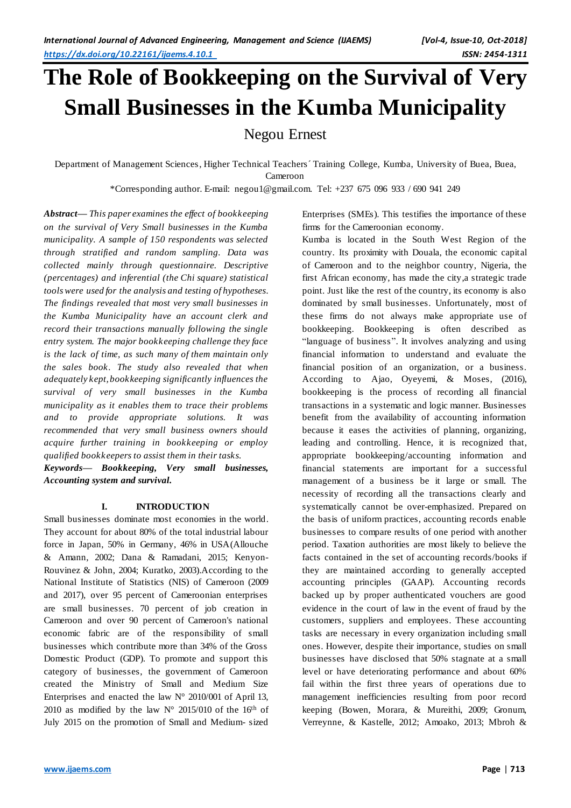# **The Role of Bookkeeping on the Survival of Very Small Businesses in the Kumba Municipality**

Negou Ernest

Department of Management Sciences, Higher Technical Teachers´ Training College, Kumba, University of Buea, Buea, Cameroon

\*Corresponding author. E-mail: negou1@gmail.com. Tel: +237 675 096 933 / 690 941 249

*Abstract— This paper examines the effect of bookkeeping on the survival of Very Small businesses in the Kumba municipality. A sample of 150 respondents was selected through stratified and random sampling. Data was collected mainly through questionnaire. Descriptive (percentages) and inferential (the Chi square) statistical toolswere used for the analysis and testing of hypotheses. The findings revealed that most very small businesses in the Kumba Municipality have an account clerk and record their transactions manually following the single entry system. The major bookkeeping challenge they face is the lack of time, as such many of them maintain only the sales book. The study also revealed that when adequately kept, bookkeeping significantly influences the survival of very small businesses in the Kumba municipality as it enables them to trace their problems and to provide appropriate solutions. It was recommended that very small business owners should acquire further training in bookkeeping or employ qualified bookkeepers to assist them in their tasks.* 

*Keywords— Bookkeeping, Very small businesses, Accounting system and survival.*

# **I. INTRODUCTION**

Small businesses dominate most economies in the world. They account for about 80% of the total industrial labour force in Japan, 50% in Germany, 46% in USA(Allouche & Amann, 2002; Dana & Ramadani, 2015; Kenyon-Rouvinez & John, 2004; Kuratko, 2003).According to the National Institute of Statistics (NIS) of Cameroon (2009 and 2017), over 95 percent of Cameroonian enterprises are small businesses. 70 percent of job creation in Cameroon and over 90 percent of Cameroon's national economic fabric are of the responsibility of small businesses which contribute more than 34% of the Gross Domestic Product (GDP). To promote and support this category of businesses, the government of Cameroon created the Ministry of Small and Medium Size Enterprises and enacted the law N° 2010/001 of April 13, 2010 as modified by the law  $N^{\circ}$  2015/010 of the 16<sup>th</sup> of July 2015 on the promotion of Small and Medium- sized

Enterprises (SMEs). This testifies the importance of these firms for the Cameroonian economy.

Kumba is located in the South West Region of the country. Its proximity with Douala, the economic capital of Cameroon and to the neighbor country, Nigeria, the first African economy, has made the city,a strategic trade point. Just like the rest of the country, its economy is also dominated by small businesses. Unfortunately, most of these firms do not always make appropriate use of bookkeeping. Bookkeeping is often described as "language of business". It involves analyzing and using financial information to understand and evaluate the financial position of an organization, or a business. According to Ajao, Oyeyemi, & Moses, (2016), bookkeeping is the process of recording all financial transactions in a systematic and logic manner. Businesses benefit from the availability of accounting information because it eases the activities of planning, organizing, leading and controlling. Hence, it is recognized that, appropriate bookkeeping/accounting information and financial statements are important for a successful management of a business be it large or small. The necessity of recording all the transactions clearly and systematically cannot be over-emphasized. Prepared on the basis of uniform practices, accounting records enable businesses to compare results of one period with another period. Taxation authorities are most likely to believe the facts contained in the set of accounting records/books if they are maintained according to generally accepted accounting principles (GAAP). Accounting records backed up by proper authenticated vouchers are good evidence in the court of law in the event of fraud by the customers, suppliers and employees. These accounting tasks are necessary in every organization including small ones. However, despite their importance, studies on small businesses have disclosed that 50% stagnate at a small level or have deteriorating performance and about 60% fail within the first three years of operations due to management inefficiencies resulting from poor record keeping (Bowen, Morara, & Mureithi, 2009; Gronum, Verreynne, & Kastelle, 2012; Amoako, 2013; Mbroh &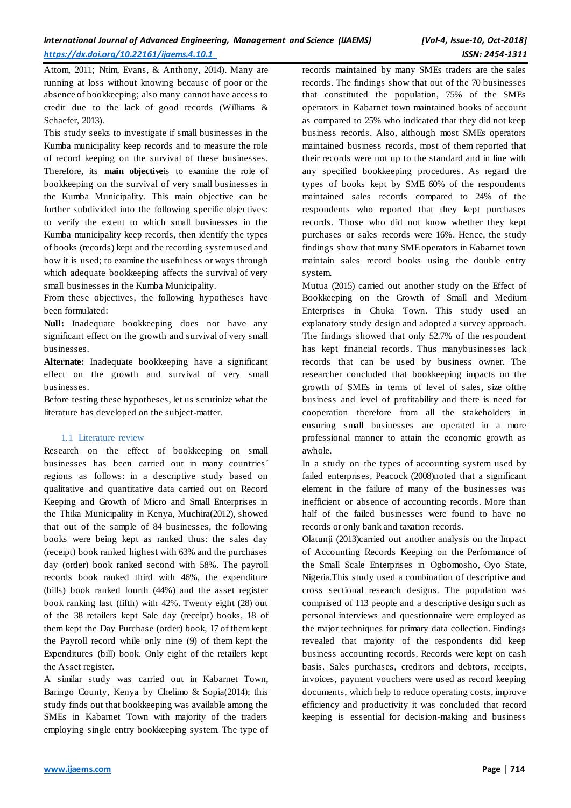Attom, 2011; Ntim, Evans, & Anthony, 2014). Many are running at loss without knowing because of poor or the absence of bookkeeping; also many cannot have access to credit due to the lack of good records (Williams & Schaefer, 2013).

This study seeks to investigate if small businesses in the Kumba municipality keep records and to measure the role of record keeping on the survival of these businesses. Therefore, its **main objective**is to examine the role of bookkeeping on the survival of very small businesses in the Kumba Municipality. This main objective can be further subdivided into the following specific objectives: to verify the extent to which small businesses in the Kumba municipality keep records, then identify the types of books (records) kept and the recording system used and how it is used; to examine the usefulness or ways through which adequate bookkeeping affects the survival of very small businesses in the Kumba Municipality.

From these objectives, the following hypotheses have been formulated:

**Null:** Inadequate bookkeeping does not have any significant effect on the growth and survival of very small businesses.

**Alternate:** Inadequate bookkeeping have a significant effect on the growth and survival of very small businesses.

Before testing these hypotheses, let us scrutinize what the literature has developed on the subject-matter.

# 1.1 Literature review

Research on the effect of bookkeeping on small businesses has been carried out in many countries´ regions as follows: in a descriptive study based on qualitative and quantitative data carried out on Record Keeping and Growth of Micro and Small Enterprises in the Thika Municipality in Kenya, Muchira(2012), showed that out of the sample of 84 businesses, the following books were being kept as ranked thus: the sales day (receipt) book ranked highest with 63% and the purchases day (order) book ranked second with 58%. The payroll records book ranked third with 46%, the expenditure (bills) book ranked fourth (44%) and the asset register book ranking last (fifth) with 42%. Twenty eight (28) out of the 38 retailers kept Sale day (receipt) books, 18 of them kept the Day Purchase (order) book, 17 of them kept the Payroll record while only nine (9) of them kept the Expenditures (bill) book. Only eight of the retailers kept the Asset register.

A similar study was carried out in Kabarnet Town, Baringo County, Kenya by Chelimo & Sopia(2014); this study finds out that bookkeeping was available among the SMEs in Kabarnet Town with majority of the traders employing single entry bookkeeping system. The type of records maintained by many SMEs traders are the sales records. The findings show that out of the 70 businesses that constituted the population, 75% of the SMEs operators in Kabarnet town maintained books of account as compared to 25% who indicated that they did not keep business records. Also, although most SMEs operators maintained business records, most of them reported that their records were not up to the standard and in line with any specified bookkeeping procedures. As regard the types of books kept by SME 60% of the respondents maintained sales records compared to 24% of the respondents who reported that they kept purchases records. Those who did not know whether they kept purchases or sales records were 16%. Hence, the study findings show that many SME operators in Kabarnet town maintain sales record books using the double entry system.

Mutua (2015) carried out another study on the Effect of Bookkeeping on the Growth of Small and Medium Enterprises in Chuka Town. This study used an explanatory study design and adopted a survey approach. The findings showed that only 52.7% of the respondent has kept financial records. Thus manybusinesses lack records that can be used by business owner. The researcher concluded that bookkeeping impacts on the growth of SMEs in terms of level of sales, size ofthe business and level of profitability and there is need for cooperation therefore from all the stakeholders in ensuring small businesses are operated in a more professional manner to attain the economic growth as awhole.

In a study on the types of accounting system used by failed enterprises, Peacock (2008)noted that a significant element in the failure of many of the businesses was inefficient or absence of accounting records. More than half of the failed businesses were found to have no records or only bank and taxation records.

Olatunji (2013)carried out another analysis on the Impact of Accounting Records Keeping on the Performance of the Small Scale Enterprises in Ogbomosho, Oyo State, Nigeria.This study used a combination of descriptive and cross sectional research designs. The population was comprised of 113 people and a descriptive design such as personal interviews and questionnaire were employed as the major techniques for primary data collection. Findings revealed that majority of the respondents did keep business accounting records. Records were kept on cash basis. Sales purchases, creditors and debtors, receipts, invoices, payment vouchers were used as record keeping documents, which help to reduce operating costs, improve efficiency and productivity it was concluded that record keeping is essential for decision-making and business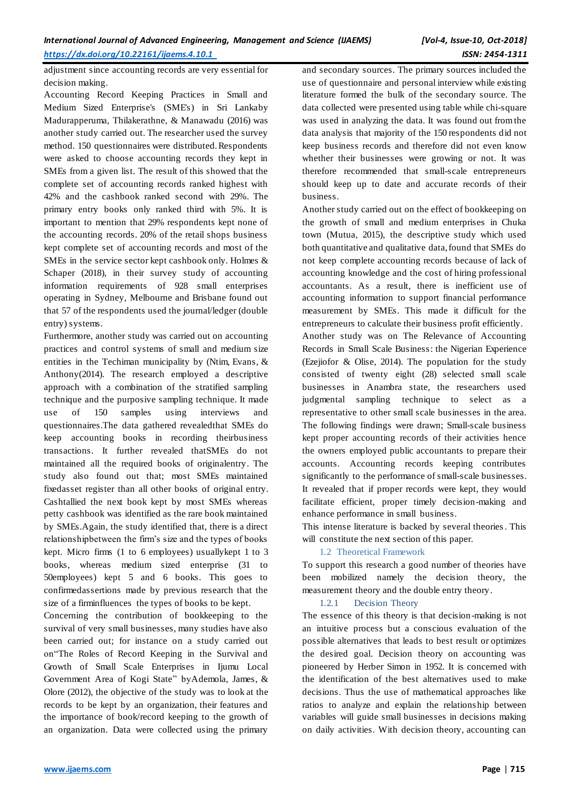adjustment since accounting records are very essential for decision making.

Accounting Record Keeping Practices in Small and Medium Sized Enterprise's (SME's) in Sri Lankaby Madurapperuma, Thilakerathne, & Manawadu (2016) was another study carried out. The researcher used the survey method. 150 questionnaires were distributed. Respondents were asked to choose accounting records they kept in SMEs from a given list. The result of this showed that the complete set of accounting records ranked highest with 42% and the cashbook ranked second with 29%. The primary entry books only ranked third with 5%. It is important to mention that 29% respondents kept none of the accounting records. 20% of the retail shops business kept complete set of accounting records and most of the SMEs in the service sector kept cashbook only. Holmes & Schaper (2018), in their survey study of accounting information requirements of 928 small enterprises operating in Sydney, Melbourne and Brisbane found out that 57 of the respondents used the journal/ledger (double entry) systems.

Furthermore, another study was carried out on accounting practices and control systems of small and medium size entities in the Techiman municipality by (Ntim, Evans, & Anthony(2014). The research employed a descriptive approach with a combination of the stratified sampling technique and the purposive sampling technique. It made use of 150 samples using interviews and questionnaires.The data gathered revealedthat SMEs do keep accounting books in recording theirbusiness transactions. It further revealed thatSMEs do not maintained all the required books of originalentry. The study also found out that; most SMEs maintained fixedasset register than all other books of original entry. Cashtallied the next book kept by most SMEs whereas petty cashbook was identified as the rare book maintained by SMEs.Again, the study identified that, there is a direct relationshipbetween the firm's size and the types of books kept. Micro firms (1 to 6 employees) usuallykept 1 to 3 books, whereas medium sized enterprise (31 to 50employees) kept 5 and 6 books. This goes to confirmedassertions made by previous research that the size of a firminfluences the types of books to be kept.

Concerning the contribution of bookkeeping to the survival of very small businesses, many studies have also been carried out; for instance on a study carried out on"The Roles of Record Keeping in the Survival and Growth of Small Scale Enterprises in Ijumu Local Government Area of Kogi State" byAdemola, James, & Olore (2012), the objective of the study was to look at the records to be kept by an organization, their features and the importance of book/record keeping to the growth of an organization. Data were collected using the primary

and secondary sources. The primary sources included the use of questionnaire and personal interview while existing literature formed the bulk of the secondary source. The data collected were presented using table while chi-square was used in analyzing the data. It was found out from the data analysis that majority of the 150 respondents did not keep business records and therefore did not even know whether their businesses were growing or not. It was therefore recommended that small-scale entrepreneurs should keep up to date and accurate records of their business.

Another study carried out on the effect of bookkeeping on the growth of small and medium enterprises in Chuka town (Mutua, 2015), the descriptive study which used both quantitative and qualitative data, found that SMEs do not keep complete accounting records because of lack of accounting knowledge and the cost of hiring professional accountants. As a result, there is inefficient use of accounting information to support financial performance measurement by SMEs. This made it difficult for the entrepreneurs to calculate their business profit efficiently.

Another study was on The Relevance of Accounting Records in Small Scale Business: the Nigerian Experience (Ezejiofor & Olise, 2014). The population for the study consisted of twenty eight (28) selected small scale businesses in Anambra state, the researchers used judgmental sampling technique to select as a representative to other small scale businesses in the area. The following findings were drawn; Small-scale business kept proper accounting records of their activities hence the owners employed public accountants to prepare their accounts. Accounting records keeping contributes significantly to the performance of small-scale businesses. It revealed that if proper records were kept, they would facilitate efficient, proper timely decision-making and enhance performance in small business.

This intense literature is backed by several theories. This will constitute the next section of this paper.

# 1.2 Theoretical Framework

To support this research a good number of theories have been mobilized namely the decision theory, the measurement theory and the double entry theory.

#### 1.2.1 Decision Theory

The essence of this theory is that decision-making is not an intuitive process but a conscious evaluation of the possible alternatives that leads to best result or optimizes the desired goal. Decision theory on accounting was pioneered by Herber Simon in 1952. It is concerned with the identification of the best alternatives used to make decisions. Thus the use of mathematical approaches like ratios to analyze and explain the relationship between variables will guide small businesses in decisions making on daily activities. With decision theory, accounting can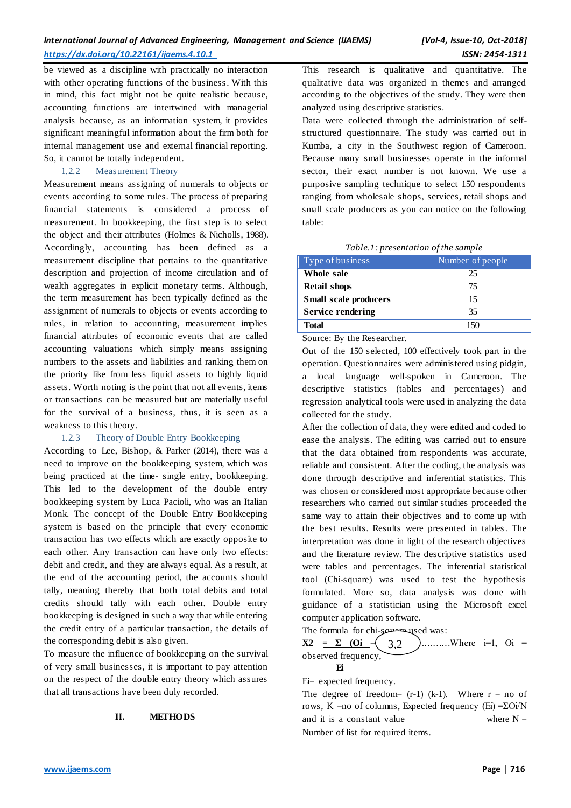be viewed as a discipline with practically no interaction with other operating functions of the business. With this in mind, this fact might not be quite realistic because, accounting functions are intertwined with managerial analysis because, as an information system, it provides significant meaningful information about the firm both for internal management use and external financial reporting. So, it cannot be totally independent.

# 1.2.2 Measurement Theory

Measurement means assigning of numerals to objects or events according to some rules. The process of preparing financial statements is considered a process of measurement. In bookkeeping, the first step is to select the object and their attributes (Holmes & Nicholls, 1988). Accordingly, accounting has been defined as a measurement discipline that pertains to the quantitative description and projection of income circulation and of wealth aggregates in explicit monetary terms. Although, the term measurement has been typically defined as the assignment of numerals to objects or events according to rules, in relation to accounting, measurement implies financial attributes of economic events that are called accounting valuations which simply means assigning numbers to the assets and liabilities and ranking them on the priority like from less liquid assets to highly liquid assets. Worth noting is the point that not all events, items or transactions can be measured but are materially useful for the survival of a business, thus, it is seen as a weakness to this theory.

# 1.2.3 Theory of Double Entry Bookkeeping

According to Lee, Bishop, & Parker (2014), there was a need to improve on the bookkeeping system, which was being practiced at the time- single entry, bookkeeping. This led to the development of the double entry bookkeeping system by Luca Pacioli, who was an Italian Monk. The concept of the Double Entry Bookkeeping system is based on the principle that every economic transaction has two effects which are exactly opposite to each other. Any transaction can have only two effects: debit and credit, and they are always equal. As a result, at the end of the accounting period, the accounts should tally, meaning thereby that both total debits and total credits should tally with each other. Double entry bookkeeping is designed in such a way that while entering the credit entry of a particular transaction, the details of the corresponding debit is also given.

To measure the influence of bookkeeping on the survival of very small businesses, it is important to pay attention on the respect of the double entry theory which assures that all transactions have been duly recorded.

# **II. METHODS**

This research is qualitative and quantitative. The qualitative data was organized in themes and arranged according to the objectives of the study. They were then analyzed using descriptive statistics.

Data were collected through the administration of selfstructured questionnaire. The study was carried out in Kumba, a city in the Southwest region of Cameroon. Because many small businesses operate in the informal sector, their exact number is not known. We use a purposive sampling technique to select 150 respondents ranging from wholesale shops, services, retail shops and small scale producers as you can notice on the following table:

| Type of business             | Number of people |
|------------------------------|------------------|
| Whole sale                   | 25               |
| <b>Retail shops</b>          | 75               |
| <b>Small scale producers</b> | 15               |
| <b>Service rendering</b>     | 35               |
| Total                        |                  |

Source: By the Researcher.

Out of the 150 selected, 100 effectively took part in the operation. Questionnaires were administered using pidgin, a local language well-spoken in Cameroon. The descriptive statistics (tables and percentages) and regression analytical tools were used in analyzing the data collected for the study.

After the collection of data, they were edited and coded to ease the analysis. The editing was carried out to ensure that the data obtained from respondents was accurate, reliable and consistent. After the coding, the analysis was done through descriptive and inferential statistics. This was chosen or considered most appropriate because other researchers who carried out similar studies proceeded the same way to attain their objectives and to come up with the best results. Results were presented in tables. The interpretation was done in light of the research objectives and the literature review. The descriptive statistics used were tables and percentages. The inferential statistical tool (Chi-square) was used to test the hypothesis formulated. More so, data analysis was done with guidance of a statistician using the Microsoft excel computer application software.

The formula for chi-seminary used was:

**X2** =  $\Sigma$  **(Oi** –  $\left( 3.2 \right)$  ).........Where i=1, Oi = observed frequency, 3,2

Ei= expected frequency.

**Ei** 

The degree of freedom=  $(r-1)$  (k-1). Where  $r = no$  of rows, K =no of columns, Expected frequency (Ei) =ΣOi/N and it is a constant value where  $N =$ Number of list for required items.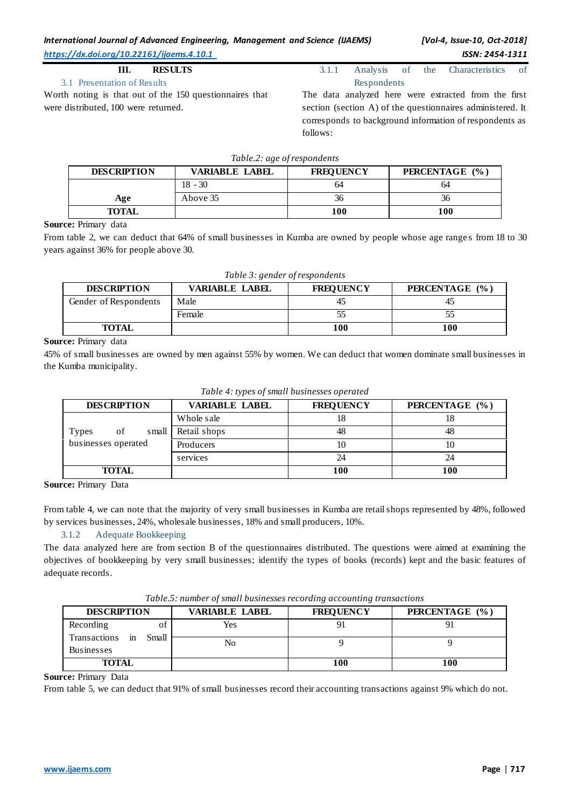# **III. RESULTS**

# 3.1 Presentation of Results

Worth noting is that out of the 150 questionnaires that were distributed, 100 were returned.

3.1.1 Analysis of the Characteristics of Respondents

The data analyzed here were extracted from the first section (section A) of the questionnaires administered. It corresponds to background information of respondents as follows:

|  |  | Table.2: age of respondents |  |
|--|--|-----------------------------|--|
|--|--|-----------------------------|--|

| <b>DESCRIPTION</b> | VARIABLE LABEL | <b>FREOUENCY</b> | PERCENTAGE (%) |
|--------------------|----------------|------------------|----------------|
|                    | $18 - 30$      | 64               | 64             |
| Age                | Above 35       | эb               | 36             |
| TOTAL              |                | 100              | 100            |

#### **Source:** Primary data

From table 2, we can deduct that 64% of small businesses in Kumba are owned by people whose age ranges from 18 to 30 years against 36% for people above 30.

|  |  |  | Table 3: gender of respondents |
|--|--|--|--------------------------------|
|--|--|--|--------------------------------|

| <b>DESCRIPTION</b>    | VARIABLE LABEL | <b>FREQUENCY</b> | PERCENTAGE (%) |
|-----------------------|----------------|------------------|----------------|
| Gender of Respondents | Male           |                  |                |
|                       | Female         |                  |                |
| <b>TOTAL</b>          |                | 100              | 100            |

#### **Source:** Primary data

45% of small businesses are owned by men against 55% by women. We can deduct that women dominate small businesses in the Kumba municipality.

| Tubic 1: 17 pes of shall bashlesses operated |                       |                  |                |  |
|----------------------------------------------|-----------------------|------------------|----------------|--|
| <b>DESCRIPTION</b>                           | <b>VARIABLE LABEL</b> | <b>FREQUENCY</b> | PERCENTAGE (%) |  |
|                                              | Whole sale            |                  |                |  |
| <b>Types</b><br>of<br>small                  | Retail shops          | 48               | 48             |  |
| businesses operated                          | Producers             |                  |                |  |
|                                              | services              | 24               | 24             |  |
| <b>TOTAL</b>                                 |                       | 100              | 100            |  |

*Table 4: types of small businesses operated*

**Source:** Primary Data

From table 4, we can note that the majority of very small businesses in Kumba are retail shops represented by 48%, followed by services businesses, 24%, wholesale businesses, 18% and small producers, 10%.

# 3.1.2 Adequate Bookkeeping

The data analyzed here are from section B of the questionnaires distributed. The questions were aimed at examining the objectives of bookkeeping by very small businesses; identify the types of books (records) kept and the basic features of adequate records.

| Table.5: number of small businesses recording accounting transactions |  |  |
|-----------------------------------------------------------------------|--|--|
|-----------------------------------------------------------------------|--|--|

| <b>DESCRIPTION</b>                            | <b>VARIABLE LABEL</b> | <b>FREQUENCY</b> | PERCENTAGE (%) |
|-----------------------------------------------|-----------------------|------------------|----------------|
| Recording<br>ΩŤ                               | Yes                   |                  |                |
| Transactions in<br>Small<br><b>Businesses</b> | No                    |                  |                |
| <b>TOTAL</b>                                  |                       | 100              | 00             |

## **Source:** Primary Data

From table 5, we can deduct that 91% of small businesses record their accounting transactions against 9% which do not.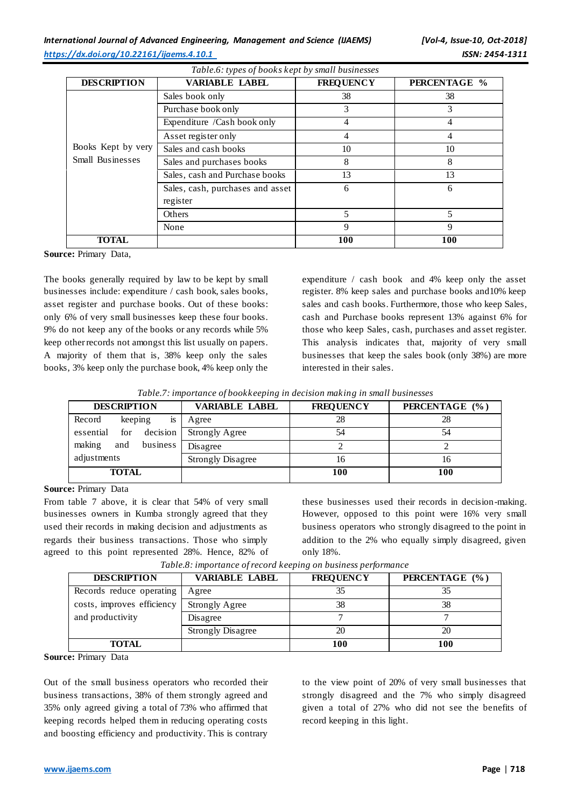| <b>DESCRIPTION</b> | <b>VARIABLE LABEL</b>            | <b>FREQUENCY</b> | PERCENTAGE % |
|--------------------|----------------------------------|------------------|--------------|
|                    | Sales book only                  | 38               | 38           |
|                    | Purchase book only               | 3                | 3            |
|                    | Expenditure /Cash book only      | 4                | 4            |
|                    | Asset register only              | 4                | 4            |
| Books Kept by very | Sales and cash books             | 10               | 10           |
| Small Businesses   | Sales and purchases books        | 8                | 8            |
|                    | Sales, cash and Purchase books   | 13               | 13           |
|                    | Sales, cash, purchases and asset | 6                | 6            |
|                    | register                         |                  |              |
|                    | Others                           | 5                | 5            |
|                    | None                             | 9                | 9            |
| <b>TOTAL</b>       |                                  | 100              | 100          |

*Table.6: types of books kept by small businesses*

**Source:** Primary Data,

The books generally required by law to be kept by small businesses include: expenditure / cash book, sales books, asset register and purchase books. Out of these books: only 6% of very small businesses keep these four books. 9% do not keep any of the books or any records while 5% keep other records not amongst this list usually on papers. A majority of them that is, 38% keep only the sales books, 3% keep only the purchase book, 4% keep only the

expenditure / cash book and 4% keep only the asset register. 8% keep sales and purchase books and10% keep sales and cash books. Furthermore, those who keep Sales, cash and Purchase books represent 13% against 6% for those who keep Sales, cash, purchases and asset register. This analysis indicates that, majority of very small businesses that keep the sales book (only 38%) are more interested in their sales.

| Table.7: importance of bookkeeping in decision making in small businesses |  |  |
|---------------------------------------------------------------------------|--|--|
|                                                                           |  |  |
|                                                                           |  |  |

| <b>DESCRIPTION</b>           | <b>VARIABLE LABEL</b>    | <b>FREQUENCY</b> | PERCENTAGE (%) |
|------------------------------|--------------------------|------------------|----------------|
| Record<br>keeping<br>1S      | Agree                    | 28               | 28             |
| decision<br>for<br>essential | <b>Strongly Agree</b>    |                  | 54             |
| business<br>making<br>and    | Disagree                 |                  |                |
| adjustments                  | <b>Strongly Disagree</b> | 16               | 16             |
| <b>TOTAL</b>                 |                          | 100              | <b>100</b>     |

**Source:** Primary Data

From table 7 above, it is clear that 54% of very small businesses owners in Kumba strongly agreed that they used their records in making decision and adjustments as regards their business transactions. Those who simply agreed to this point represented 28%. Hence, 82% of these businesses used their records in decision-making. However, opposed to this point were 16% very small business operators who strongly disagreed to the point in addition to the 2% who equally simply disagreed, given only 18%.

| <b>DESCRIPTION</b>         | VARIABLE LABEL           | <b>FREOUENCY</b> | PERCENTAGE (%) |
|----------------------------|--------------------------|------------------|----------------|
| Records reduce operating   | Agree                    |                  |                |
| costs, improves efficiency | <b>Strongly Agree</b>    | 38               | 38             |
| and productivity           | Disagree                 |                  |                |
|                            | <b>Strongly Disagree</b> | 20               | 20             |
| TOTAL                      |                          | 100              | 100            |

*Table.8: importance of record keeping on business performance*

**Source:** Primary Data

Out of the small business operators who recorded their business transactions, 38% of them strongly agreed and 35% only agreed giving a total of 73% who affirmed that keeping records helped them in reducing operating costs and boosting efficiency and productivity. This is contrary

to the view point of 20% of very small businesses that strongly disagreed and the 7% who simply disagreed given a total of 27% who did not see the benefits of record keeping in this light.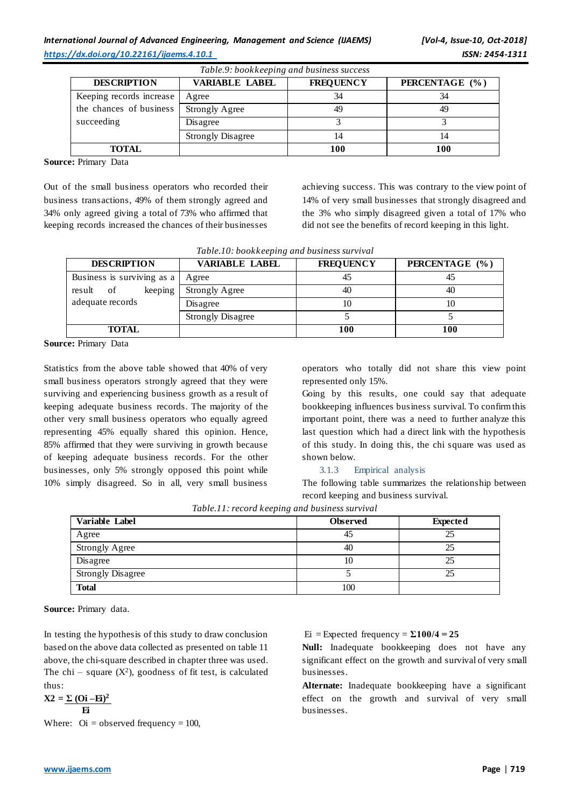| Table.9: bookkeeping and business success |                          |                  |                |  |  |  |
|-------------------------------------------|--------------------------|------------------|----------------|--|--|--|
| <b>DESCRIPTION</b>                        | <b>VARIABLE LABEL</b>    | <b>FREQUENCY</b> | PERCENTAGE (%) |  |  |  |
| Keeping records increase                  | Agree                    | 34               | 34             |  |  |  |
| the chances of business                   | <b>Strongly Agree</b>    | 49               | 49             |  |  |  |
| succeeding                                | Disagree                 |                  |                |  |  |  |
|                                           | <b>Strongly Disagree</b> | 14               | 14             |  |  |  |
| <b>TOTAL</b>                              |                          | 100              | 100            |  |  |  |

**Source:** Primary Data

Out of the small business operators who recorded their business transactions, 49% of them strongly agreed and 34% only agreed giving a total of 73% who affirmed that keeping records increased the chances of their businesses

achieving success. This was contrary to the view point of 14% of very small businesses that strongly disagreed and the 3% who simply disagreed given a total of 17% who did not see the benefits of record keeping in this light.

| <b>DESCRIPTION</b>         | <b>VARIABLE LABEL</b>    | <b>FREQUENCY</b> | PERCENTAGE (%) |
|----------------------------|--------------------------|------------------|----------------|
| Business is surviving as a | Agree                    | 45               |                |
| keeping<br>result<br>of    | <b>Strongly Agree</b>    | 40               | 40             |
| adequate records           | Disagree                 | 10               | 10             |
|                            | <b>Strongly Disagree</b> |                  |                |
| <b>TOTAL</b>               |                          | <b>100</b>       | 100            |

**Source:** Primary Data

Statistics from the above table showed that 40% of very small business operators strongly agreed that they were surviving and experiencing business growth as a result of keeping adequate business records. The majority of the other very small business operators who equally agreed representing 45% equally shared this opinion. Hence, 85% affirmed that they were surviving in growth because of keeping adequate business records. For the other businesses, only 5% strongly opposed this point while 10% simply disagreed. So in all, very small business

operators who totally did not share this view point represented only 15%.

Going by this results, one could say that adequate bookkeeping influences business survival. To confirm this important point, there was a need to further analyze this last question which had a direct link with the hypothesis of this study. In doing this, the chi square was used as shown below.

#### 3.1.3 Empirical analysis

The following table summarizes the relationship between record keeping and business survival.

| Variable Label           | <b>Observed</b> | <b>Expected</b> |
|--------------------------|-----------------|-----------------|
| Agree                    | 45              | 25              |
| <b>Strongly Agree</b>    | 40              | 25              |
| Disagree                 | 10              | 25              |
| <b>Strongly Disagree</b> |                 | 25              |
| <b>Total</b>             | 100             |                 |

*Table.11: record keeping and business survival*

**Source:** Primary data.

In testing the hypothesis of this study to draw conclusion based on the above data collected as presented on table 11 above, the chi-square described in chapter three was used. The chi – square  $(X^2)$ , goodness of fit test, is calculated thus:

 $X2 = \Sigma (0i - Ei)^2$  **Ei**

Where:  $\text{Oi} = \text{observed frequency} = 100$ ,

 $Ei$  = Expected frequency =  $\Sigma 100/4 = 25$ 

**Null:** Inadequate bookkeeping does not have any significant effect on the growth and survival of very small businesses.

**Alternate:** Inadequate bookkeeping have a significant effect on the growth and survival of very small businesses.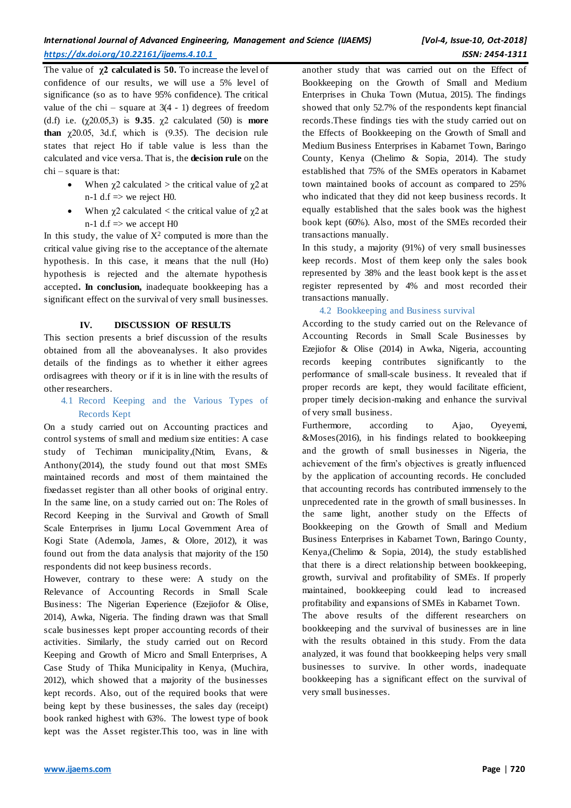The value of  $\chi$ **2 calculated is 50.** To increase the level of confidence of our results, we will use a 5% level of significance (so as to have 95% confidence). The critical value of the chi – square at  $3(4 - 1)$  degrees of freedom (d.f) i.e. (χ20.05,3) is **9.35**. χ2 calculated (50) is **more than**  $\chi$ 20.05, 3d.f, which is  $(9.35)$ . The decision rule states that reject Ho if table value is less than the calculated and vice versa. That is, the **decision rule** on the chi – square is that:

- When  $\chi$ 2 calculated > the critical value of  $\chi$ 2 at n-1 d.f  $\Rightarrow$  we reject H0.
- When  $\chi$ 2 calculated < the critical value of  $\chi$ 2 at n-1 d.f  $\Rightarrow$  we accept H0

In this study, the value of  $X^2$  computed is more than the critical value giving rise to the acceptance of the alternate hypothesis. In this case, it means that the null (Ho) hypothesis is rejected and the alternate hypothesis accepted**. In conclusion,** inadequate bookkeeping has a significant effect on the survival of very small businesses.

# **IV. DISCUSSION OF RESULTS**

This section presents a brief discussion of the results obtained from all the aboveanalyses. It also provides details of the findings as to whether it either agrees ordisagrees with theory or if it is in line with the results of other researchers.

4.1 Record Keeping and the Various Types of Records Kept

On a study carried out on Accounting practices and control systems of small and medium size entities: A case study of Techiman municipality,(Ntim, Evans, & Anthony(2014), the study found out that most SMEs maintained records and most of them maintained the fixedasset register than all other books of original entry. In the same line, on a study carried out on: The Roles of Record Keeping in the Survival and Growth of Small Scale Enterprises in Ijumu Local Government Area of Kogi State (Ademola, James, & Olore, 2012), it was found out from the data analysis that majority of the 150 respondents did not keep business records.

However, contrary to these were: A study on the Relevance of Accounting Records in Small Scale Business: The Nigerian Experience (Ezejiofor & Olise, 2014), Awka, Nigeria. The finding drawn was that Small scale businesses kept proper accounting records of their activities. Similarly, the study carried out on Record Keeping and Growth of Micro and Small Enterprises, A Case Study of Thika Municipality in Kenya, (Muchira, 2012), which showed that a majority of the businesses kept records. Also, out of the required books that were being kept by these businesses, the sales day (receipt) book ranked highest with 63%. The lowest type of book kept was the Asset register.This too, was in line with

another study that was carried out on the Effect of Bookkeeping on the Growth of Small and Medium Enterprises in Chuka Town (Mutua, 2015). The findings showed that only 52.7% of the respondents kept financial records.These findings ties with the study carried out on the Effects of Bookkeeping on the Growth of Small and Medium Business Enterprises in Kabarnet Town, Baringo County, Kenya (Chelimo & Sopia, 2014). The study established that 75% of the SMEs operators in Kabarnet town maintained books of account as compared to 25% who indicated that they did not keep business records. It equally established that the sales book was the highest book kept (60%). Also, most of the SMEs recorded their transactions manually.

In this study, a majority (91%) of very small businesses keep records. Most of them keep only the sales book represented by 38% and the least book kept is the ass et register represented by 4% and most recorded their transactions manually.

# 4.2 Bookkeeping and Business survival

According to the study carried out on the Relevance of Accounting Records in Small Scale Businesses by Ezejiofor & Olise (2014) in Awka, Nigeria, accounting records keeping contributes significantly to the performance of small-scale business. It revealed that if proper records are kept, they would facilitate efficient, proper timely decision-making and enhance the survival of very small business.

Furthermore, according to Ajao, Oyeyemi, &Moses(2016), in his findings related to bookkeeping and the growth of small businesses in Nigeria, the achievement of the firm's objectives is greatly influenced by the application of accounting records. He concluded that accounting records has contributed immensely to the unprecedented rate in the growth of small businesses. In the same light, another study on the Effects of Bookkeeping on the Growth of Small and Medium Business Enterprises in Kabarnet Town, Baringo County, Kenya,(Chelimo & Sopia, 2014), the study established that there is a direct relationship between bookkeeping, growth, survival and profitability of SMEs. If properly maintained, bookkeeping could lead to increased profitability and expansions of SMEs in Kabarnet Town. The above results of the different researchers on bookkeeping and the survival of businesses are in line with the results obtained in this study. From the data analyzed, it was found that bookkeeping helps very small businesses to survive. In other words, inadequate bookkeeping has a significant effect on the survival of very small businesses.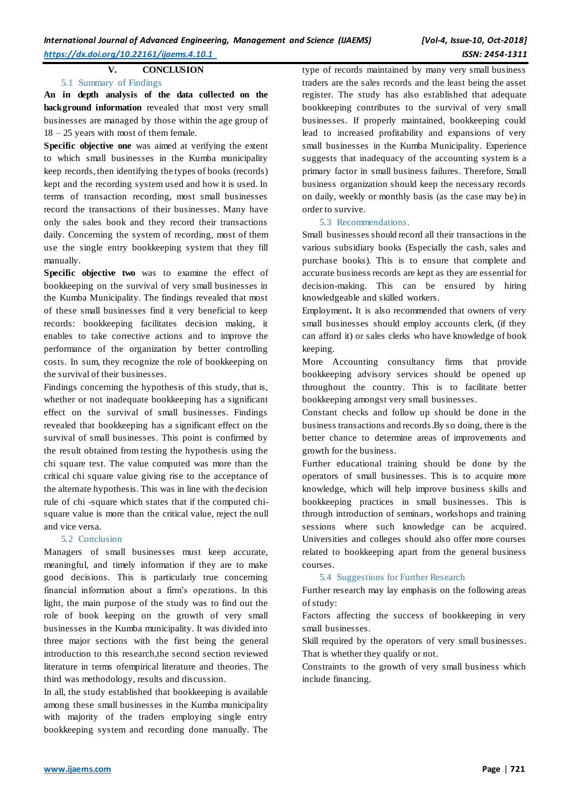## **V. CONCLUSION**

#### 5.1 Summary of Findings

**An in depth analysis of the data collected on the background information** revealed that most very small businesses are managed by those within the age group of 18 – 25 years with most of them female.

**Specific objective one** was aimed at verifying the extent to which small businesses in the Kumba municipality keep records, then identifying the types of books (records) kept and the recording system used and how it is used. In terms of transaction recording, most small businesses record the transactions of their businesses. Many have only the sales book and they record their transactions daily. Concerning the system of recording, most of them use the single entry bookkeeping system that they fill manually.

**Specific objective two** was to examine the effect of bookkeeping on the survival of very small businesses in the Kumba Municipality. The findings revealed that most of these small businesses find it very beneficial to keep records: bookkeeping facilitates decision making, it enables to take corrective actions and to improve the performance of the organization by better controlling costs. In sum, they recognize the role of bookkeeping on the survival of their businesses.

Findings concerning the hypothesis of this study, that is, whether or not inadequate bookkeeping has a significant effect on the survival of small businesses. Findings revealed that bookkeeping has a significant effect on the survival of small businesses. This point is confirmed by the result obtained from testing the hypothesis using the chi square test. The value computed was more than the critical chi square value giving rise to the acceptance of the alternate hypothesis. This was in line with the decision rule of chi -square which states that if the computed chisquare value is more than the critical value, reject the null and vice versa.

#### 5.2 Conclusion

Managers of small businesses must keep accurate, meaningful, and timely information if they are to make good decisions. This is particularly true concerning financial information about a firm's operations. In this light, the main purpose of the study was to find out the role of book keeping on the growth of very small businesses in the Kumba municipality. It was divided into three major sections with the first being the general introduction to this research,the second section reviewed literature in terms ofempirical literature and theories. The third was methodology, results and discussion.

In all, the study established that bookkeeping is available among these small businesses in the Kumba municipality with majority of the traders employing single entry bookkeeping system and recording done manually. The

type of records maintained by many very small business traders are the sales records and the least being the asset register. The study has also established that adequate bookkeeping contributes to the survival of very small businesses. If properly maintained, bookkeeping could lead to increased profitability and expansions of very small businesses in the Kumba Municipality. Experience suggests that inadequacy of the accounting system is a primary factor in small business failures. Therefore, Small business organization should keep the necessary records on daily, weekly or monthly basis (as the case may be) in order to survive.

#### 5.3 Recommendations.

Small businesses should record all their transactions in the various subsidiary books (Especially the cash, sales and purchase books). This is to ensure that complete and accurate business records are kept as they are essential for decision-making. This can be ensured by hiring knowledgeable and skilled workers.

Employment**.** It is also recommended that owners of very small businesses should employ accounts clerk, (if they can afford it) or sales clerks who have knowledge of book keeping.

More Accounting consultancy firms that provide bookkeeping advisory services should be opened up throughout the country. This is to facilitate better bookkeeping amongst very small businesses.

Constant checks and follow up should be done in the business transactions and records.By so doing, there is the better chance to determine areas of improvements and growth for the business.

Further educational training should be done by the operators of small businesses. This is to acquire more knowledge, which will help improve business skills and bookkeeping practices in small businesses. This is through introduction of seminars, workshops and training sessions where such knowledge can be acquired. Universities and colleges should also offer more courses related to bookkeeping apart from the general business courses.

#### 5.4 Suggestions for Further Research

Further research may lay emphasis on the following areas of study:

Factors affecting the success of bookkeeping in very small businesses.

Skill required by the operators of very small businesses. That is whether they qualify or not.

Constraints to the growth of very small business which include financing.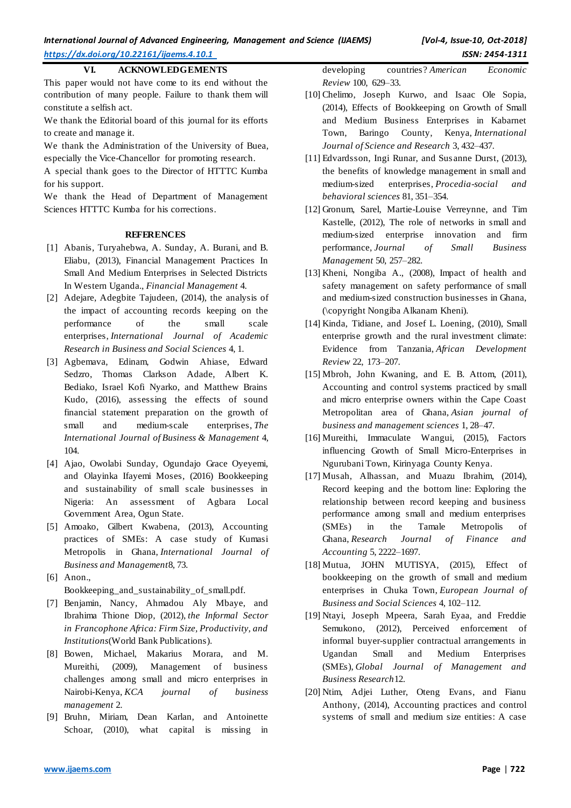## **VI. ACKNOWLEDGEMENTS**

This paper would not have come to its end without the contribution of many people. Failure to thank them will constitute a selfish act.

We thank the Editorial board of this journal for its efforts to create and manage it.

We thank the Administration of the University of Buea, especially the Vice-Chancellor for promoting research.

A special thank goes to the Director of HTTTC Kumba for his support.

We thank the Head of Department of Management Sciences HTTTC Kumba for his corrections.

#### **REFERENCES**

- [1] Abanis, Turyahebwa, A. Sunday, A. Burani, and B. Eliabu, (2013), Financial Management Practices In Small And Medium Enterprises in Selected Districts In Western Uganda., *Financial Management* 4.
- [2] Adejare, Adegbite Tajudeen, (2014), the analysis of the impact of accounting records keeping on the performance of the small scale enterprises, *International Journal of Academic Research in Business and Social Sciences* 4, 1.
- [3] Agbemava, Edinam, Godwin Ahiase, Edward Sedzro, Thomas Clarkson Adade, Albert K. Bediako, Israel Kofi Nyarko, and Matthew Brains Kudo, (2016), assessing the effects of sound financial statement preparation on the growth of small and medium-scale enterprises, *The International Journal of Business & Management* 4, 104.
- [4] Ajao, Owolabi Sunday, Ogundajo Grace Oyeyemi, and Olayinka Ifayemi Moses, (2016) Bookkeeping and sustainability of small scale businesses in Nigeria: An assessment of Agbara Local Government Area, Ogun State.
- [5] Amoako, Gilbert Kwabena, (2013), Accounting practices of SMEs: A case study of Kumasi Metropolis in Ghana, *International Journal of Business and Management*8, 73.
- [6] Anon., Bookkeeping\_and\_sustainability\_of\_small.pdf.
- [7] Benjamin, Nancy, Ahmadou Aly Mbaye, and Ibrahima Thione Diop, (2012), *the Informal Sector in Francophone Africa: Firm Size, Productivity, and Institutions*(World Bank Publications).
- [8] Bowen, Michael, Makarius Morara, and M. Mureithi, (2009), Management of business challenges among small and micro enterprises in Nairobi-Kenya, *KCA journal of business management* 2.
- [9] Bruhn, Miriam, Dean Karlan, and Antoinette Schoar, (2010), what capital is missing in

developing countries? *American Economic Review* 100, 629–33.

- [10] Chelimo, Joseph Kurwo, and Isaac Ole Sopia, (2014), Effects of Bookkeeping on Growth of Small and Medium Business Enterprises in Kabarnet Town, Baringo County, Kenya, *International Journal of Science and Research* 3, 432–437.
- [11] Edvardsson, Ingi Runar, and Sus anne Durst, (2013), the benefits of knowledge management in small and medium-sized enterprises, *Procedia-social and behavioral sciences* 81, 351–354.
- [12] Gronum, Sarel, Martie-Louise Verreynne, and Tim Kastelle, (2012), The role of networks in small and medium-sized enterprise innovation and firm performance, *Journal of Small Business Management* 50, 257–282.
- [13] Kheni, Nongiba A., (2008), Impact of health and safety management on safety performance of small and medium-sized construction businesses in Ghana, (\copyright Nongiba Alkanam Kheni).
- [14] Kinda, Tidiane, and Josef L. Loening, (2010), Small enterprise growth and the rural investment climate: Evidence from Tanzania, *African Development Review* 22, 173–207.
- [15] Mbroh, John Kwaning, and E. B. Attom, (2011), Accounting and control systems practiced by small and micro enterprise owners within the Cape Coast Metropolitan area of Ghana, *Asian journal of business and management sciences* 1, 28–47.
- [16] Mureithi, Immaculate Wangui, (2015), Factors influencing Growth of Small Micro-Enterprises in Ngurubani Town, Kirinyaga County Kenya.
- [17] Musah, Alhassan, and Muazu Ibrahim, (2014), Record keeping and the bottom line: Exploring the relationship between record keeping and business performance among small and medium enterprises (SMEs) in the Tamale Metropolis of Ghana, *Research Journal of Finance and Accounting* 5, 2222–1697.
- [18] Mutua, JOHN MUTISYA, (2015), Effect of bookkeeping on the growth of small and medium enterprises in Chuka Town, *European Journal of Business and Social Sciences* 4, 102–112.
- [19] Ntayi, Joseph Mpeera, Sarah Eyaa, and Freddie Semukono, (2012), Perceived enforcement of informal buyer-supplier contractual arrangements in Ugandan Small and Medium Enterprises (SMEs), *Global Journal of Management and Business Research*12.
- [20] Ntim, Adjei Luther, Oteng Evans, and Fianu Anthony, (2014), Accounting practices and control systems of small and medium size entities: A case